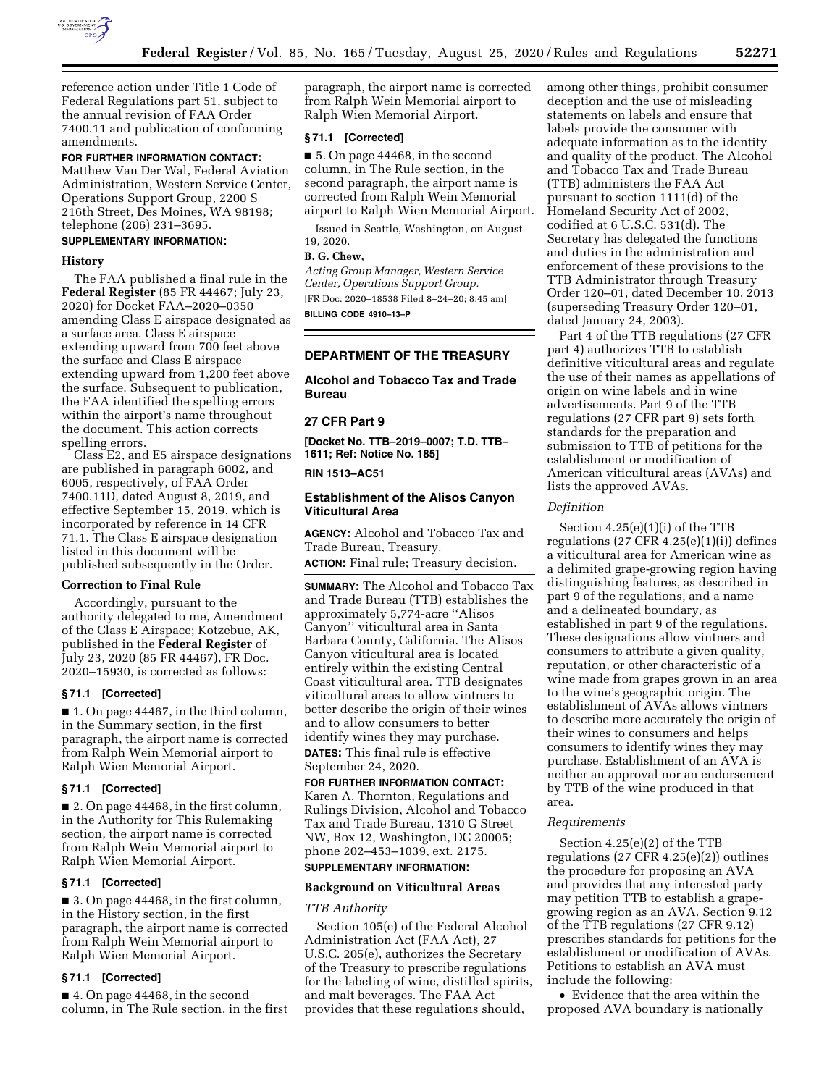

reference action under Title 1 Code of Federal Regulations part 51, subject to the annual revision of FAA Order 7400.11 and publication of conforming amendments.

# **FOR FURTHER INFORMATION CONTACT:**

Matthew Van Der Wal, Federal Aviation Administration, Western Service Center, Operations Support Group, 2200 S 216th Street, Des Moines, WA 98198; telephone (206) 231–3695.

# **SUPPLEMENTARY INFORMATION:**

#### **History**

The FAA published a final rule in the **Federal Register** (85 FR 44467; July 23, 2020) for Docket FAA–2020–0350 amending Class E airspace designated as a surface area. Class E airspace extending upward from 700 feet above the surface and Class E airspace extending upward from 1,200 feet above the surface. Subsequent to publication, the FAA identified the spelling errors within the airport's name throughout the document. This action corrects spelling errors.

Class E2, and E5 airspace designations are published in paragraph 6002, and 6005, respectively, of FAA Order 7400.11D, dated August 8, 2019, and effective September 15, 2019, which is incorporated by reference in 14 CFR 71.1. The Class E airspace designation listed in this document will be published subsequently in the Order.

#### **Correction to Final Rule**

Accordingly, pursuant to the authority delegated to me, Amendment of the Class E Airspace; Kotzebue, AK, published in the **Federal Register** of July 23, 2020 (85 FR 44467), FR Doc. 2020–15930, is corrected as follows:

#### **§ 71.1 [Corrected]**

■ 1. On page 44467, in the third column, in the Summary section, in the first paragraph, the airport name is corrected from Ralph Wein Memorial airport to Ralph Wien Memorial Airport.

#### **§ 71.1 [Corrected]**

■ 2. On page 44468, in the first column, in the Authority for This Rulemaking section, the airport name is corrected from Ralph Wein Memorial airport to Ralph Wien Memorial Airport.

#### **§ 71.1 [Corrected]**

■ 3. On page 44468, in the first column, in the History section, in the first paragraph, the airport name is corrected from Ralph Wein Memorial airport to Ralph Wien Memorial Airport.

## **§ 71.1 [Corrected]**

■ 4. On page 44468, in the second column, in The Rule section, in the first paragraph, the airport name is corrected from Ralph Wein Memorial airport to Ralph Wien Memorial Airport.

# **§ 71.1 [Corrected]**

■ 5. On page 44468, in the second column, in The Rule section, in the second paragraph, the airport name is corrected from Ralph Wein Memorial airport to Ralph Wien Memorial Airport.

Issued in Seattle, Washington, on August 19, 2020.

## **B. G. Chew,**

*Acting Group Manager, Western Service Center, Operations Support Group.*  [FR Doc. 2020–18538 Filed 8–24–20; 8:45 am]

**BILLING CODE 4910–13–P** 

# **DEPARTMENT OF THE TREASURY**

# **Alcohol and Tobacco Tax and Trade Bureau**

#### **27 CFR Part 9**

**[Docket No. TTB–2019–0007; T.D. TTB– 1611; Ref: Notice No. 185]** 

## **RIN 1513–AC51**

# **Establishment of the Alisos Canyon Viticultural Area**

**AGENCY:** Alcohol and Tobacco Tax and Trade Bureau, Treasury. **ACTION:** Final rule; Treasury decision.

**SUMMARY:** The Alcohol and Tobacco Tax and Trade Bureau (TTB) establishes the approximately 5,774-acre ''Alisos Canyon'' viticultural area in Santa Barbara County, California. The Alisos Canyon viticultural area is located entirely within the existing Central Coast viticultural area. TTB designates viticultural areas to allow vintners to better describe the origin of their wines and to allow consumers to better identify wines they may purchase. **DATES:** This final rule is effective September 24, 2020.

# **FOR FURTHER INFORMATION CONTACT:**

Karen A. Thornton, Regulations and Rulings Division, Alcohol and Tobacco Tax and Trade Bureau, 1310 G Street NW, Box 12, Washington, DC 20005; phone 202–453–1039, ext. 2175.

# **SUPPLEMENTARY INFORMATION:**

# **Background on Viticultural Areas**

#### *TTB Authority*

Section 105(e) of the Federal Alcohol Administration Act (FAA Act), 27 U.S.C. 205(e), authorizes the Secretary of the Treasury to prescribe regulations for the labeling of wine, distilled spirits, and malt beverages. The FAA Act provides that these regulations should,

among other things, prohibit consumer deception and the use of misleading statements on labels and ensure that labels provide the consumer with adequate information as to the identity and quality of the product. The Alcohol and Tobacco Tax and Trade Bureau (TTB) administers the FAA Act pursuant to section 1111(d) of the Homeland Security Act of 2002, codified at 6 U.S.C. 531(d). The Secretary has delegated the functions and duties in the administration and enforcement of these provisions to the TTB Administrator through Treasury Order 120–01, dated December 10, 2013 (superseding Treasury Order 120–01, dated January 24, 2003).

Part 4 of the TTB regulations (27 CFR part 4) authorizes TTB to establish definitive viticultural areas and regulate the use of their names as appellations of origin on wine labels and in wine advertisements. Part 9 of the TTB regulations (27 CFR part 9) sets forth standards for the preparation and submission to TTB of petitions for the establishment or modification of American viticultural areas (AVAs) and lists the approved AVAs.

## *Definition*

Section 4.25(e)(1)(i) of the TTB regulations  $(27 \text{ CFR } 4.25(e)(1)(i))$  defines a viticultural area for American wine as a delimited grape-growing region having distinguishing features, as described in part 9 of the regulations, and a name and a delineated boundary, as established in part 9 of the regulations. These designations allow vintners and consumers to attribute a given quality, reputation, or other characteristic of a wine made from grapes grown in an area to the wine's geographic origin. The establishment of AVAs allows vintners to describe more accurately the origin of their wines to consumers and helps consumers to identify wines they may purchase. Establishment of an AVA is neither an approval nor an endorsement by TTB of the wine produced in that area.

#### *Requirements*

Section 4.25(e)(2) of the TTB regulations (27 CFR 4.25(e)(2)) outlines the procedure for proposing an AVA and provides that any interested party may petition TTB to establish a grapegrowing region as an AVA. Section 9.12 of the TTB regulations (27 CFR 9.12) prescribes standards for petitions for the establishment or modification of AVAs. Petitions to establish an AVA must include the following:

• Evidence that the area within the proposed AVA boundary is nationally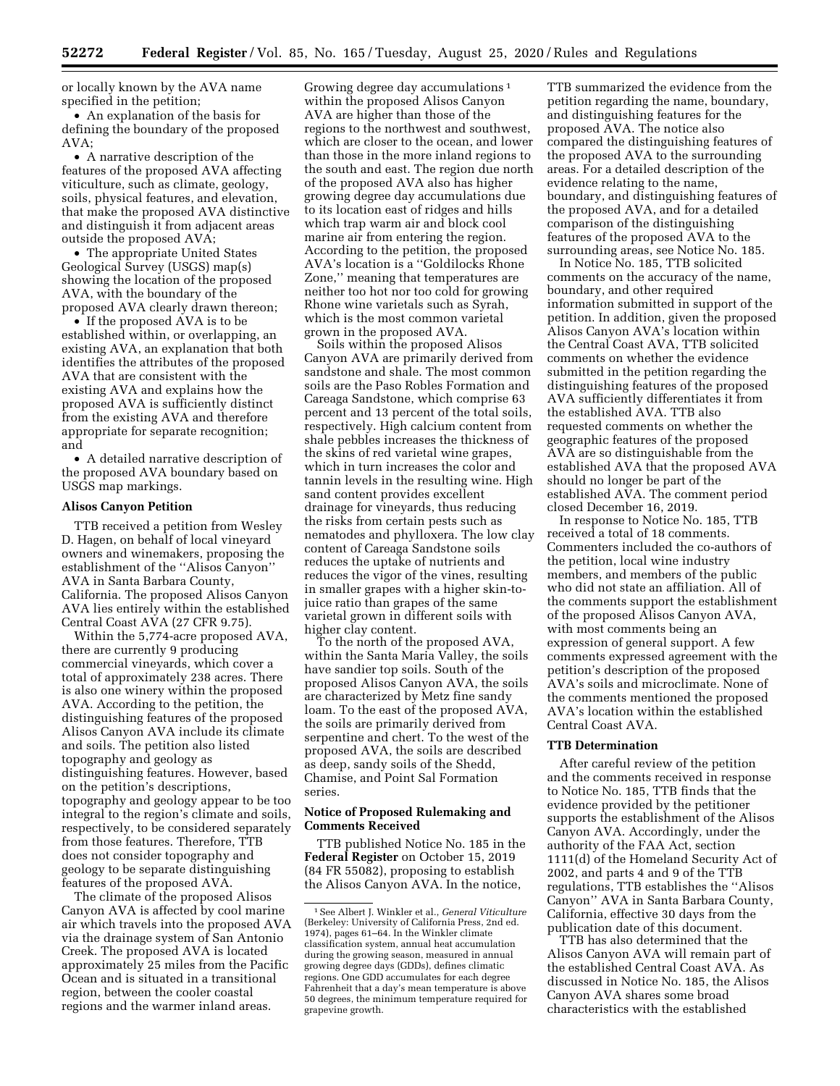or locally known by the AVA name specified in the petition;

• An explanation of the basis for defining the boundary of the proposed AVA;

• A narrative description of the features of the proposed AVA affecting viticulture, such as climate, geology, soils, physical features, and elevation, that make the proposed AVA distinctive and distinguish it from adjacent areas outside the proposed AVA;

• The appropriate United States Geological Survey (USGS) map(s) showing the location of the proposed AVA, with the boundary of the proposed AVA clearly drawn thereon;

• If the proposed AVA is to be established within, or overlapping, an existing AVA, an explanation that both identifies the attributes of the proposed AVA that are consistent with the existing AVA and explains how the proposed AVA is sufficiently distinct from the existing AVA and therefore appropriate for separate recognition; and

• A detailed narrative description of the proposed AVA boundary based on USGS map markings.

#### **Alisos Canyon Petition**

TTB received a petition from Wesley D. Hagen, on behalf of local vineyard owners and winemakers, proposing the establishment of the ''Alisos Canyon'' AVA in Santa Barbara County, California. The proposed Alisos Canyon AVA lies entirely within the established Central Coast AVA (27 CFR 9.75).

Within the 5,774-acre proposed AVA, there are currently 9 producing commercial vineyards, which cover a total of approximately 238 acres. There is also one winery within the proposed AVA. According to the petition, the distinguishing features of the proposed Alisos Canyon AVA include its climate and soils. The petition also listed topography and geology as distinguishing features. However, based on the petition's descriptions, topography and geology appear to be too integral to the region's climate and soils, respectively, to be considered separately from those features. Therefore, TTB does not consider topography and geology to be separate distinguishing features of the proposed AVA.

The climate of the proposed Alisos Canyon AVA is affected by cool marine air which travels into the proposed AVA via the drainage system of San Antonio Creek. The proposed AVA is located approximately 25 miles from the Pacific Ocean and is situated in a transitional region, between the cooler coastal regions and the warmer inland areas.

Growing degree day accumulations 1 within the proposed Alisos Canyon AVA are higher than those of the regions to the northwest and southwest, which are closer to the ocean, and lower than those in the more inland regions to the south and east. The region due north of the proposed AVA also has higher growing degree day accumulations due to its location east of ridges and hills which trap warm air and block cool marine air from entering the region. According to the petition, the proposed AVA's location is a ''Goldilocks Rhone Zone,'' meaning that temperatures are neither too hot nor too cold for growing Rhone wine varietals such as Syrah, which is the most common varietal grown in the proposed AVA.

Soils within the proposed Alisos Canyon AVA are primarily derived from sandstone and shale. The most common soils are the Paso Robles Formation and Careaga Sandstone, which comprise 63 percent and 13 percent of the total soils, respectively. High calcium content from shale pebbles increases the thickness of the skins of red varietal wine grapes, which in turn increases the color and tannin levels in the resulting wine. High sand content provides excellent drainage for vineyards, thus reducing the risks from certain pests such as nematodes and phylloxera. The low clay content of Careaga Sandstone soils reduces the uptake of nutrients and reduces the vigor of the vines, resulting in smaller grapes with a higher skin-tojuice ratio than grapes of the same varietal grown in different soils with higher clay content.

To the north of the proposed AVA, within the Santa Maria Valley, the soils have sandier top soils. South of the proposed Alisos Canyon AVA, the soils are characterized by Metz fine sandy loam. To the east of the proposed AVA, the soils are primarily derived from serpentine and chert. To the west of the proposed AVA, the soils are described as deep, sandy soils of the Shedd, Chamise, and Point Sal Formation series.

# **Notice of Proposed Rulemaking and Comments Received**

TTB published Notice No. 185 in the **Federal Register** on October 15, 2019 (84 FR 55082), proposing to establish the Alisos Canyon AVA. In the notice,

TTB summarized the evidence from the petition regarding the name, boundary, and distinguishing features for the proposed AVA. The notice also compared the distinguishing features of the proposed AVA to the surrounding areas. For a detailed description of the evidence relating to the name, boundary, and distinguishing features of the proposed AVA, and for a detailed comparison of the distinguishing features of the proposed AVA to the surrounding areas, see Notice No. 185.

In Notice No. 185, TTB solicited comments on the accuracy of the name, boundary, and other required information submitted in support of the petition. In addition, given the proposed Alisos Canyon AVA's location within the Central Coast AVA, TTB solicited comments on whether the evidence submitted in the petition regarding the distinguishing features of the proposed AVA sufficiently differentiates it from the established AVA. TTB also requested comments on whether the geographic features of the proposed AVA are so distinguishable from the established AVA that the proposed AVA should no longer be part of the established AVA. The comment period closed December 16, 2019.

In response to Notice No. 185, TTB received a total of 18 comments. Commenters included the co-authors of the petition, local wine industry members, and members of the public who did not state an affiliation. All of the comments support the establishment of the proposed Alisos Canyon AVA, with most comments being an expression of general support. A few comments expressed agreement with the petition's description of the proposed AVA's soils and microclimate. None of the comments mentioned the proposed AVA's location within the established Central Coast AVA.

#### **TTB Determination**

After careful review of the petition and the comments received in response to Notice No. 185, TTB finds that the evidence provided by the petitioner supports the establishment of the Alisos Canyon AVA. Accordingly, under the authority of the FAA Act, section 1111(d) of the Homeland Security Act of 2002, and parts 4 and 9 of the TTB regulations, TTB establishes the ''Alisos Canyon'' AVA in Santa Barbara County, California, effective 30 days from the publication date of this document.

TTB has also determined that the Alisos Canyon AVA will remain part of the established Central Coast AVA. As discussed in Notice No. 185, the Alisos Canyon AVA shares some broad characteristics with the established

<sup>1</sup>See Albert J. Winkler et al., *General Viticulture*  (Berkeley: University of California Press, 2nd ed. 1974), pages 61–64. In the Winkler climate classification system, annual heat accumulation during the growing season, measured in annual growing degree days (GDDs), defines climatic regions. One GDD accumulates for each degree Fahrenheit that a day's mean temperature is above 50 degrees, the minimum temperature required for grapevine growth.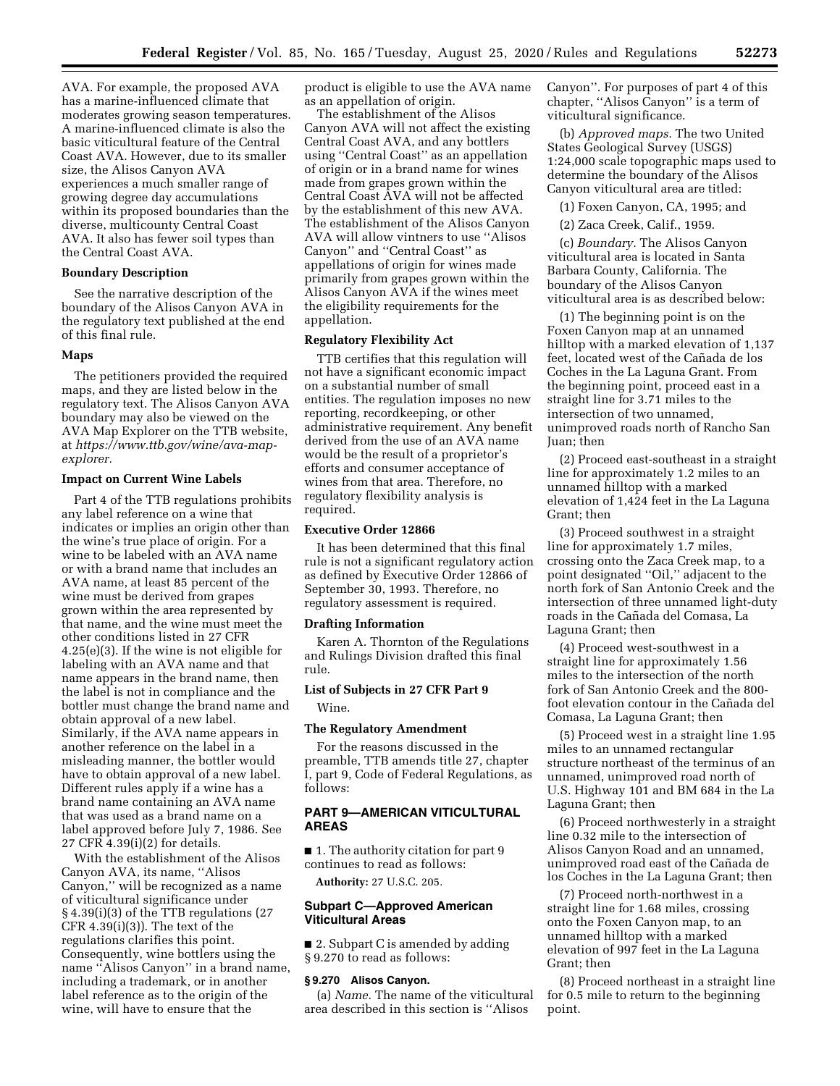AVA. For example, the proposed AVA has a marine-influenced climate that moderates growing season temperatures. A marine-influenced climate is also the basic viticultural feature of the Central Coast AVA. However, due to its smaller size, the Alisos Canyon AVA experiences a much smaller range of growing degree day accumulations within its proposed boundaries than the diverse, multicounty Central Coast AVA. It also has fewer soil types than the Central Coast AVA.

# **Boundary Description**

See the narrative description of the boundary of the Alisos Canyon AVA in the regulatory text published at the end of this final rule.

#### **Maps**

The petitioners provided the required maps, and they are listed below in the regulatory text. The Alisos Canyon AVA boundary may also be viewed on the AVA Map Explorer on the TTB website, at *[https://www.ttb.gov/wine/ava-map](https://www.ttb.gov/wine/ava-map-explorer)[explorer.](https://www.ttb.gov/wine/ava-map-explorer)* 

## **Impact on Current Wine Labels**

Part 4 of the TTB regulations prohibits any label reference on a wine that indicates or implies an origin other than the wine's true place of origin. For a wine to be labeled with an AVA name or with a brand name that includes an AVA name, at least 85 percent of the wine must be derived from grapes grown within the area represented by that name, and the wine must meet the other conditions listed in 27 CFR 4.25(e)(3). If the wine is not eligible for labeling with an AVA name and that name appears in the brand name, then the label is not in compliance and the bottler must change the brand name and obtain approval of a new label. Similarly, if the AVA name appears in another reference on the label in a misleading manner, the bottler would have to obtain approval of a new label. Different rules apply if a wine has a brand name containing an AVA name that was used as a brand name on a label approved before July 7, 1986. See 27 CFR 4.39(i)(2) for details.

With the establishment of the Alisos Canyon AVA, its name, ''Alisos Canyon,'' will be recognized as a name of viticultural significance under § 4.39(i)(3) of the TTB regulations (27  $CFR$  4.39(i)(3)). The text of the regulations clarifies this point. Consequently, wine bottlers using the name ''Alisos Canyon'' in a brand name, including a trademark, or in another label reference as to the origin of the wine, will have to ensure that the

product is eligible to use the AVA name as an appellation of origin.

The establishment of the Alisos Canyon AVA will not affect the existing Central Coast AVA, and any bottlers using ''Central Coast'' as an appellation of origin or in a brand name for wines made from grapes grown within the Central Coast AVA will not be affected by the establishment of this new AVA. The establishment of the Alisos Canyon AVA will allow vintners to use ''Alisos Canyon'' and ''Central Coast'' as appellations of origin for wines made primarily from grapes grown within the Alisos Canyon AVA if the wines meet the eligibility requirements for the appellation.

#### **Regulatory Flexibility Act**

TTB certifies that this regulation will not have a significant economic impact on a substantial number of small entities. The regulation imposes no new reporting, recordkeeping, or other administrative requirement. Any benefit derived from the use of an AVA name would be the result of a proprietor's efforts and consumer acceptance of wines from that area. Therefore, no regulatory flexibility analysis is required.

#### **Executive Order 12866**

It has been determined that this final rule is not a significant regulatory action as defined by Executive Order 12866 of September 30, 1993. Therefore, no regulatory assessment is required.

#### **Drafting Information**

Karen A. Thornton of the Regulations and Rulings Division drafted this final rule.

# **List of Subjects in 27 CFR Part 9**

Wine.

#### **The Regulatory Amendment**

For the reasons discussed in the preamble, TTB amends title 27, chapter I, part 9, Code of Federal Regulations, as follows:

# **PART 9—AMERICAN VITICULTURAL AREAS**

■ 1. The authority citation for part 9 continues to read as follows:

**Authority:** 27 U.S.C. 205.

## **Subpart C—Approved American Viticultural Areas**

■ 2. Subpart C is amended by adding § 9.270 to read as follows:

## **§ 9.270 Alisos Canyon.**

(a) *Name.* The name of the viticultural area described in this section is ''Alisos

Canyon''. For purposes of part 4 of this chapter, ''Alisos Canyon'' is a term of viticultural significance.

(b) *Approved maps.* The two United States Geological Survey (USGS) 1:24,000 scale topographic maps used to determine the boundary of the Alisos Canyon viticultural area are titled:

(1) Foxen Canyon, CA, 1995; and

(2) Zaca Creek, Calif., 1959.

(c) *Boundary.* The Alisos Canyon viticultural area is located in Santa Barbara County, California. The boundary of the Alisos Canyon viticultural area is as described below:

(1) The beginning point is on the Foxen Canyon map at an unnamed hilltop with a marked elevation of 1,137 feet, located west of the Cañada de los Coches in the La Laguna Grant. From the beginning point, proceed east in a straight line for 3.71 miles to the intersection of two unnamed, unimproved roads north of Rancho San Juan; then

(2) Proceed east-southeast in a straight line for approximately 1.2 miles to an unnamed hilltop with a marked elevation of 1,424 feet in the La Laguna Grant; then

(3) Proceed southwest in a straight line for approximately 1.7 miles, crossing onto the Zaca Creek map, to a point designated ''Oil,'' adjacent to the north fork of San Antonio Creek and the intersection of three unnamed light-duty roads in the Cañada del Comasa, La Laguna Grant; then

(4) Proceed west-southwest in a straight line for approximately 1.56 miles to the intersection of the north fork of San Antonio Creek and the 800 foot elevation contour in the Cañada del Comasa, La Laguna Grant; then

(5) Proceed west in a straight line 1.95 miles to an unnamed rectangular structure northeast of the terminus of an unnamed, unimproved road north of U.S. Highway 101 and BM 684 in the La Laguna Grant; then

(6) Proceed northwesterly in a straight line 0.32 mile to the intersection of Alisos Canyon Road and an unnamed, unimproved road east of the Cañada de los Coches in the La Laguna Grant; then

(7) Proceed north-northwest in a straight line for 1.68 miles, crossing onto the Foxen Canyon map, to an unnamed hilltop with a marked elevation of 997 feet in the La Laguna Grant; then

(8) Proceed northeast in a straight line for 0.5 mile to return to the beginning point.